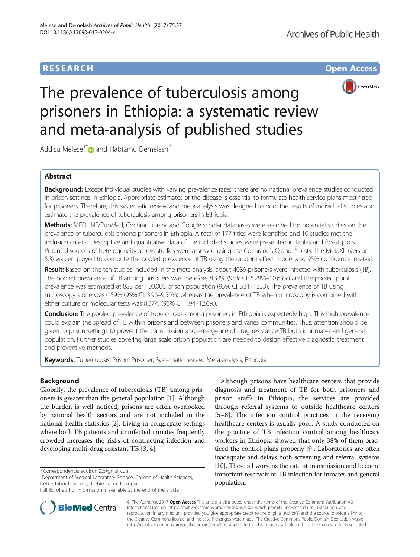# **RESEARCH CHE Open Access**



# The prevalence of tuberculosis among prisoners in Ethiopia: a systematic review and meta-analysis of published studies

Addisu Melese<sup>1[\\*](http://orcid.org/0000-0002-2362-5500)</sup> and Habtamu Demelash<sup>2</sup>

## Abstract

Background: Except individual studies with varying prevalence rates, there are no national prevalence studies conducted in prison settings in Ethiopia. Appropriate estimates of the disease is essential to formulate health service plans most fitted for prisoners. Therefore, this systematic review and meta-analysis was designed to pool the results of individual studies and estimate the prevalence of tuberculosis among prisoners in Ethiopia.

Methods: MEDLINE/PubMed, Cochran library, and Google scholar databases were searched for potential studies on the prevalence of tuberculosis among prisoners in Ethiopia. A total of 177 titles were identified and 10 studies met the inclusion criteria. Descriptive and quantitative data of the included studies were presented in tables and forest plots. Potential sources of heterogeneity across studies were assessed using the Cochrane's Q and I<sup>2</sup> tests. The MetaXL (version 5.3) was employed to compute the pooled prevalence of TB using the random effect model and 95% confidence interval.

Result: Based on the ten studies included in the meta-analysis, about 4086 prisoners were infected with tuberculosis (TB). The pooled prevalence of TB among prisoners was therefore 8.33% (95% CI; 6.28%–10.63%) and the pooled point prevalence was estimated at 888 per 100,000 prison population (95% CI; 531–1333). The prevalence of TB using microscopy alone was 6.59% (95% CI: 3.96–9.50%) whereas the prevalence of TB when microscopy is combined with either culture or molecular tests was 8.57% (95% CI: 4.94–12.6%).

Conclusion: The pooled prevalence of tuberculosis among prisoners in Ethiopia is expectedly high. This high prevalence could explain the spread of TB within prisons and between prisoners and varies communities. Thus; attention should be given to prison settings to prevent the transmission and emergence of drug resistance TB both in inmates and general population. Further studies covering large scale prison population are needed to design effective diagnostic, treatment and preventive methods.

Keywords: Tuberculosis, Prison, Prisoner, Systematic review, Meta-analysis, Ethiopia

## Background

Globally, the prevalence of tuberculosis (TB) among prisoners is greater than the general population [[1\]](#page-7-0). Although the burden is well noticed, prisons are often overlooked by national health sectors and are not included in the national health statistics [[2\]](#page-7-0). Living in congregate settings where both TB patients and uninfected inmates frequently crowded increases the risks of contracting infection and developing multi-drug resistant TB [[3, 4](#page-7-0)].

\* Correspondence: [addisum22@gmail.com](mailto:addisum22@gmail.com) <sup>1</sup>

<sup>1</sup>Department of Medical Laboratory Science, College of Health Sciences, Debre Tabor University, Debre Tabor, Ethiopia

Although prisons have healthcare centers that provide diagnosis and treatment of TB for both prisoners and prison staffs in Ethiopia, the services are provided through referral systems to outside healthcare centers [[5](#page-7-0)–[8\]](#page-7-0). The infection control practices in the receiving healthcare centers is usually poor. A study conducted on the practice of TB infection control among healthcare workers in Ethiopia showed that only 38% of them practiced the control plans properly [[9](#page-7-0)]. Laboratories are often inadequate and delays both screening and referral systems [[10](#page-7-0)]. These all worsens the rate of transmission and become important reservoir of TB infection for inmates and general population.



© The Author(s). 2017 **Open Access** This article is distributed under the terms of the Creative Commons Attribution 4.0 International License [\(http://creativecommons.org/licenses/by/4.0/](http://creativecommons.org/licenses/by/4.0/)), which permits unrestricted use, distribution, and reproduction in any medium, provided you give appropriate credit to the original author(s) and the source, provide a link to the Creative Commons license, and indicate if changes were made. The Creative Commons Public Domain Dedication waiver [\(http://creativecommons.org/publicdomain/zero/1.0/](http://creativecommons.org/publicdomain/zero/1.0/)) applies to the data made available in this article, unless otherwise stated.

Full list of author information is available at the end of the article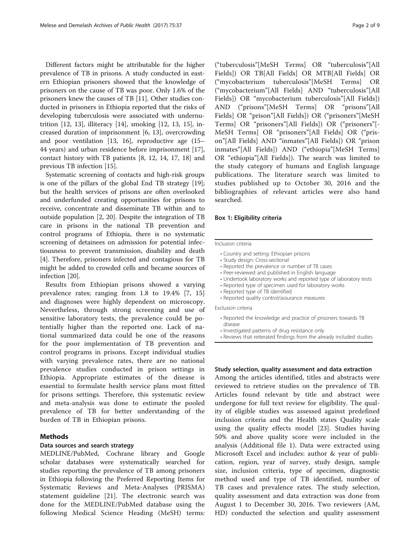Different factors might be attributable for the higher prevalence of TB in prisons. A study conducted in eastern Ethiopian prisoners showed that the knowledge of prisoners on the cause of TB was poor. Only 1.6% of the prisoners knew the causes of TB [[11\]](#page-7-0). Other studies conducted in prisoners in Ethiopia reported that the risks of developing tuberculosis were associated with undernutrition [[12](#page-8-0), [13](#page-8-0)], illiteracy [[14](#page-8-0)], smoking [[12, 13, 15\]](#page-8-0), increased duration of imprisonment [\[6](#page-7-0), [13\]](#page-8-0), overcrowding and poor ventilation [[13](#page-8-0), [16](#page-8-0)], reproductive age (15– 44 years) and urban residence before imprisonment [\[17](#page-8-0)], contact history with TB patients [[8,](#page-7-0) [12](#page-8-0), [14](#page-8-0), [17](#page-8-0), [18](#page-8-0)] and previous TB infection [\[15](#page-8-0)].

Systematic screening of contacts and high-risk groups is one of the pillars of the global End TB strategy [\[19](#page-8-0)]; but the health services of prisons are often overlooked and underfunded creating opportunities for prisons to receive, concentrate and disseminate TB within and to outside population [\[2](#page-7-0), [20](#page-8-0)]. Despite the integration of TB care in prisons in the national TB prevention and control programs of Ethiopia, there is no systematic screening of detainees on admission for potential infectiousness to prevent transmission, disability and death [[4\]](#page-7-0). Therefore, prisoners infected and contagious for TB might be added to crowded cells and became sources of infection [[20\]](#page-8-0).

Results from Ethiopian prisons showed a varying prevalence rates; ranging from 1.8 to 19.4% [\[7](#page-7-0), [15](#page-8-0)] and diagnoses were highly dependent on microscopy. Nevertheless, through strong screening and use of sensitive laboratory tests, the prevalence could be potentially higher than the reported one. Lack of national summarized data could be one of the reasons for the poor implementation of TB prevention and control programs in prisons. Except individual studies with varying prevalence rates, there are no national prevalence studies conducted in prison settings in Ethiopia. Appropriate estimates of the disease is essential to formulate health service plans most fitted for prisons settings. Therefore, this systematic review and meta-analysis was done to estimate the pooled prevalence of TB for better understanding of the burden of TB in Ethiopian prisons.

## Methods

## Data sources and search strategy

MEDLINE/PubMed, Cochrane library and Google scholar databases were systematically searched for studies reporting the prevalence of TB among prisoners in Ethiopia following the Preferred Reporting Items for Systematic Reviews and Meta-Analyses (PRISMA) statement guideline [\[21](#page-8-0)]. The electronic search was done for the MEDLINE/PubMed database using the following Medical Science Heading (MeSH) terms:

("tuberculosis"[MeSH Terms] OR "tuberculosis"[All Fields]) OR TB[All Fields] OR MTB[All Fields] OR ("mycobacterium tuberculosis"[MeSH Terms] OR ("mycobacterium"[All Fields] AND "tuberculosis"[All Fields]) OR "mycobacterium tuberculosis"[All Fields]) AND ("prisons"[MeSH Terms] OR "prisons"[All Fields] OR "prison"[All Fields]) OR ("prisoners"[MeSH Terms] OR "prisoners"[All Fields]) OR ("prisoners"[- MeSH Terms] OR "prisoners"[All Fields] OR ("prison"[All Fields] AND "inmates"[All Fields]) OR "prison inmates"[All Fields]) AND ("ethiopia"[MeSH Terms] OR "ethiopia"[All Fields]). The search was limited to the study category of humans and English language publications. The literature search was limited to studies published up to October 30, 2016 and the bibliographies of relevant articles were also hand searched.

## Box 1: Eligibility criteria

#### Inclusion criteria

- Country and setting: Ethiopian prisons
- Study design: Cross-sectional
- Reported the prevalence or number of TB cases
- Peer-reviewed and published in English language
- Undertook laboratory works and reported type of laboratory tests
- Reported type of specimen used for laboratory works
- Reported type of TB identified
- Reported quality control/assurance measures

Exclusion criteria

- Reported the knowledge and practice of prisoners towards TB disease
- Investigated patterns of drug resistance only
- Reviews that reiterated findings from the already included studies

#### Study selection, quality assessment and data extraction

Among the articles identified, titles and abstracts were reviewed to retrieve studies on the prevalence of TB. Articles found relevant by title and abstract were undergone for full text review for eligibility. The quality of eligible studies was assessed against predefined inclusion criteria and the Health states Quality scale using the quality effects model [[23\]](#page-8-0). Studies having 50% and above quality score were included in the analysis (Additional file [1](#page-7-0)). Data were extracted using Microsoft Excel and includes: author & year of publication, region, year of survey, study design, sample size, inclusion criteria, type of specimen, diagnostic method used and type of TB identified, number of TB cases and prevalence rates. The study selection, quality assessment and data extraction was done from August 1 to December 30, 2016. Two reviewers (AM, HD) conducted the selection and quality assessment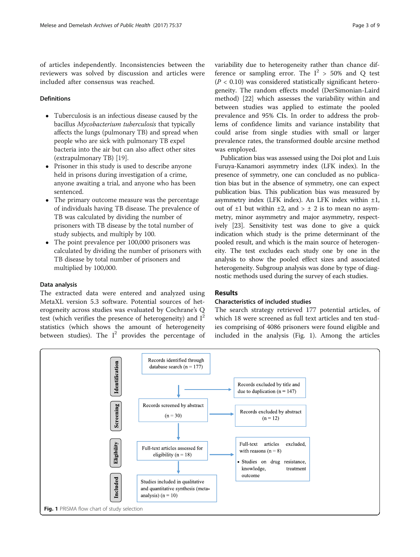of articles independently. Inconsistencies between the reviewers was solved by discussion and articles were included after consensus was reached.

## **Definitions**

- Tuberculosis is an infectious disease caused by the bacillus Mycobacterium tuberculosis that typically affects the lungs (pulmonary TB) and spread when people who are sick with pulmonary TB expel bacteria into the air but can also affect other sites (extrapulmonary TB) [[19](#page-8-0)].
- Prisoner in this study is used to describe anyone held in prisons during investigation of a crime, anyone awaiting a trial, and anyone who has been sentenced.
- The primary outcome measure was the percentage of individuals having TB disease. The prevalence of TB was calculated by dividing the number of prisoners with TB disease by the total number of study subjects, and multiply by 100.
- The point prevalence per 100,000 prisoners was calculated by dividing the number of prisoners with TB disease by total number of prisoners and multiplied by 100,000.

## Data analysis

The extracted data were entered and analyzed using MetaXL version 5.3 software. Potential sources of heterogeneity across studies was evaluated by Cochrane's Q test (which verifies the presence of heterogeneity) and  $I^2$ statistics (which shows the amount of heterogeneity between studies). The  $I^2$  provides the percentage of variability due to heterogeneity rather than chance difference or sampling error. The  $I^2 > 50\%$  and Q test  $(P < 0.10)$  was considered statistically significant heterogeneity. The random effects model (DerSimonian-Laird method) [\[22\]](#page-8-0) which assesses the variability within and between studies was applied to estimate the pooled prevalence and 95% CIs. In order to address the problems of confidence limits and variance instability that could arise from single studies with small or larger prevalence rates, the transformed double arcsine method was employed.

Publication bias was assessed using the Doi plot and Luis Furuya-Kanamori asymmetry index (LFK index). In the presence of symmetry, one can concluded as no publication bias but in the absence of symmetry, one can expect publication bias. This publication bias was measured by asymmetry index (LFK index). An LFK index within  $\pm 1$ , out of  $\pm 1$  but within  $\pm 2$ , and  $> \pm 2$  is to mean no asymmetry, minor asymmetry and major asymmetry, respectively [\[23\]](#page-8-0). Sensitivity test was done to give a quick indication which study is the prime determinant of the pooled result, and which is the main source of heterogeneity. The test excludes each study one by one in the analysis to show the pooled effect sizes and associated heterogeneity. Subgroup analysis was done by type of diagnostic methods used during the survey of each studies.

## Results

## Characteristics of included studies

The search strategy retrieved 177 potential articles, of which 18 were screened as full text articles and ten studies comprising of 4086 prisoners were found eligible and included in the analysis (Fig. 1). Among the articles

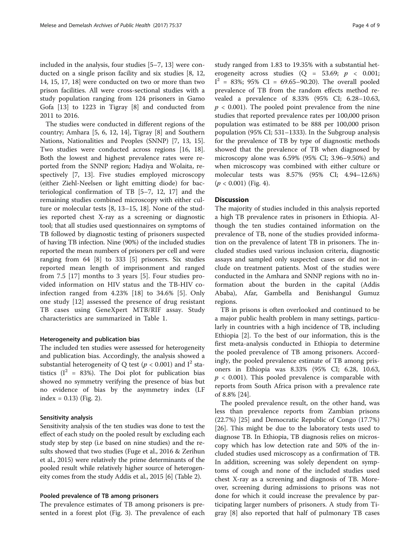included in the analysis, four studies [[5](#page-7-0)–[7](#page-7-0), [13](#page-8-0)] were conducted on a single prison facility and six studies [[8,](#page-7-0) [12](#page-8-0), [14, 15, 17, 18\]](#page-8-0) were conducted on two or more than two prison facilities. All were cross-sectional studies with a study population ranging from 124 prisoners in Gamo Gofa [[13\]](#page-8-0) to 1223 in Tigray [\[8](#page-7-0)] and conducted from 2011 to 2016.

The studies were conducted in different regions of the country; Amhara [[5, 6,](#page-7-0) [12](#page-8-0), [14\]](#page-8-0), Tigray [[8\]](#page-7-0) and Southern Nations, Nationalities and Peoples (SNNP) [[7,](#page-7-0) [13, 15](#page-8-0)]. Two studies were conducted across regions [[16, 18](#page-8-0)]. Both the lowest and highest prevalence rates were reported from the SNNP region; Hadiya and Wolaita, respectively [[7,](#page-7-0) [13\]](#page-8-0). Five studies employed microscopy (either Ziehl-Neelsen or light emitting diode) for bacteriological confirmation of TB [\[5](#page-7-0)–[7,](#page-7-0) [12, 17](#page-8-0)] and the remaining studies combined microscopy with either culture or molecular tests [\[8](#page-7-0), [13](#page-8-0)–[15, 18](#page-8-0)]. None of the studies reported chest X-ray as a screening or diagnostic tool; that all studies used questionnaires on symptoms of TB followed by diagnostic testing of prisoners suspected of having TB infection. Nine (90%) of the included studies reported the mean numbers of prisoners per cell and were ranging from 64 [\[8](#page-7-0)] to 333 [[5\]](#page-7-0) prisoners. Six studies reported mean length of imprisonment and ranged from 7.5 [\[17](#page-8-0)] months to 3 years [\[5](#page-7-0)]. Four studies provided information on HIV status and the TB-HIV coinfection ranged from 4.23% [[18](#page-8-0)] to 34.6% [[5\]](#page-7-0). Only one study [[12\]](#page-8-0) assessed the presence of drug resistant TB cases using GeneXpert MTB/RIF assay. Study characteristics are summarized in Table [1](#page-4-0).

#### Heterogeneity and publication bias

The included ten studies were assessed for heterogeneity and publication bias. Accordingly, the analysis showed a substantial heterogeneity of Q test ( $p < 0.001$ ) and I<sup>2</sup> statistics ( $I^2 = 83\%$ ). The Doi plot for publication bias showed no symmetry verifying the presence of bias but no evidence of bias by the asymmetry index (LF index =  $0.13$ ) (Fig. [2](#page-5-0)).

## Sensitivity analysis

Sensitivity analysis of the ten studies was done to test the effect of each study on the pooled result by excluding each study step by step (i.e based on nine studies) and the results showed that two studies (Fuge et al., 2016 & Zerihun et al., 2015) were relatively the prime determinants of the pooled result while relatively higher source of heterogeneity comes from the study Addis et al., 2015 [\[6](#page-7-0)] (Table [2](#page-5-0)).

#### Pooled prevalence of TB among prisoners

The prevalence estimates of TB among prisoners is presented in a forest plot (Fig. [3](#page-6-0)). The prevalence of each study ranged from 1.83 to 19.35% with a substantial heterogeneity across studies  $(Q = 53.69; p < 0.001;$  $I^2 = 83\%$ ; 95% CI = 69.65-90.20). The overall pooled prevalence of TB from the random effects method revealed a prevalence of 8.33% (95% CI; 6.28–10.63,  $p < 0.001$ ). The pooled point prevalence from the nine studies that reported prevalence rates per 100,000 prison population was estimated to be 888 per 100,000 prison population (95% CI; 531–1333). In the Subgroup analysis for the prevalence of TB by type of diagnostic methods showed that the prevalence of TB when diagnosed by microscopy alone was 6.59% (95% CI; 3.96–9.50%) and when microscopy was combined with either culture or molecular tests was 8.57% (95% CI; 4.94–12.6%)  $(p < 0.001)$  (Fig. [4\)](#page-6-0).

#### **Discussion**

The majority of studies included in this analysis reported a high TB prevalence rates in prisoners in Ethiopia. Although the ten studies contained information on the prevalence of TB, none of the studies provided information on the prevalence of latent TB in prisoners. The included studies used various inclusion criteria, diagnostic assays and sampled only suspected cases or did not include on treatment patients. Most of the studies were conducted in the Amhara and SNNP regions with no information about the burden in the capital (Addis Ababa), Afar, Gambella and Benishangul Gumuz regions.

TB in prisons is often overlooked and continued to be a major public health problem in many settings, particularly in countries with a high incidence of TB, including Ethiopia [[2\]](#page-7-0). To the best of our information, this is the first meta-analysis conducted in Ethiopia to determine the pooled prevalence of TB among prisoners. Accordingly, the pooled prevalence estimate of TB among prisoners in Ethiopia was 8.33% (95% CI; 6.28, 10.63,  $p < 0.001$ ). This pooled prevalence is comparable with reports from South Africa prison with a prevalence rate of 8.8% [[24](#page-8-0)].

The pooled prevalence result, on the other hand, was less than prevalence reports from Zambian prisons (22.7%) [\[25](#page-8-0)] and Democratic Republic of Congo (17.7%) [[26\]](#page-8-0). This might be due to the laboratory tests used to diagnose TB. In Ethiopia, TB diagnosis relies on microscopy which has low detection rate and 50% of the included studies used microscopy as a confirmation of TB. In addition, screening was solely dependent on symptoms of cough and none of the included studies used chest X-ray as a screening and diagnosis of TB. Moreover, screening during admissions to prisons was not done for which it could increase the prevalence by participating larger numbers of prisoners. A study from Tigray [\[8](#page-7-0)] also reported that half of pulmonary TB cases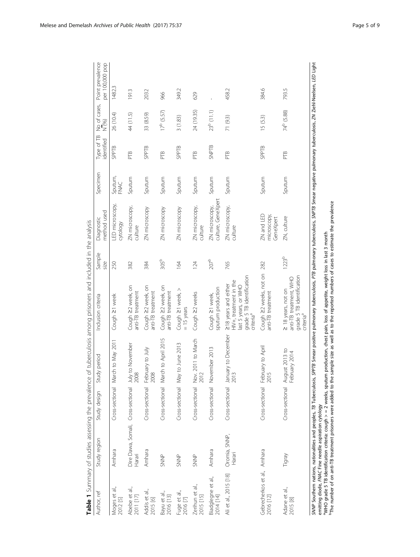| Author, ref                              | Study region                                                                                                                                                                                              | Study design        | Study period                                     | Inclusion criteria                                                                                                                                                                                                                                                                                                                                                                  | Sample<br>size   | method used<br>Diagnostic              | Specimen        | Type of TB<br>identified | No of cases,<br>N (%)  | Point prevalence<br>per 100,000 pop |
|------------------------------------------|-----------------------------------------------------------------------------------------------------------------------------------------------------------------------------------------------------------|---------------------|--------------------------------------------------|-------------------------------------------------------------------------------------------------------------------------------------------------------------------------------------------------------------------------------------------------------------------------------------------------------------------------------------------------------------------------------------|------------------|----------------------------------------|-----------------|--------------------------|------------------------|-------------------------------------|
| Moges et al.,<br>2012 [5]                | Amhara                                                                                                                                                                                                    | Cross-sectional Mar | rch to May 2011                                  | Cough 21 week                                                                                                                                                                                                                                                                                                                                                                       | 250              | LED microscopy,<br>cytology            | Sputum,<br>FNAC | <b>SPPTB</b>             | 26 (10.4)              | 1482.3                              |
| Abebe et al.,<br>2011 [17]               | Dire Dawa, Somali, Cross-sectional July to November<br>Harari                                                                                                                                             |                     |                                                  | Cough 22 week, on<br>anti-TB treatment                                                                                                                                                                                                                                                                                                                                              | 382              | ZN microscopy,<br>culture              | Sputum          | PTB                      | 44 (11.5)              | 1913                                |
| Addis et al.,<br>2015 [6]                | Amhara                                                                                                                                                                                                    |                     | Cross-sectional February to July<br>2008         | Cough 22 week, on<br>anti-TB treatment                                                                                                                                                                                                                                                                                                                                              | 384              | ZN microscopy                          | Sputum          | <b>SPPTB</b>             | 33 (8.59)              | 2032                                |
| Bayu et al.,<br>2016 [13]                | SNNP                                                                                                                                                                                                      |                     | Cross-sectional March to April 2015              | Cough 22 week, on<br>anti-TB treatment                                                                                                                                                                                                                                                                                                                                              | 305 <sup>b</sup> | ZN microscopy                          | Sputum          | PTB                      | $17^{b} (5.57)$        | 966                                 |
| Fuge et al.,<br>2016 [7]                 | SNNP                                                                                                                                                                                                      |                     | Cross-sectional May to June 2013                 | Cough 21 week, ><br>$= 15$ years                                                                                                                                                                                                                                                                                                                                                    | 164              | ZN microscopy                          | Sputum          | <b>SPPTB</b>             | 3(1.83)                | 349.2                               |
| Zerihun et al.,<br>2015 [15]             | SNNP                                                                                                                                                                                                      |                     | Cross-sectional Nov. 2011 to March               | Cough 22 weeks                                                                                                                                                                                                                                                                                                                                                                      | 124              | ZN microscopy,<br>culture              | Sputum          | PTB                      | 24 (19.35)             | 629                                 |
| Biadglegne et al.,<br>2014 [14]          | Amhara                                                                                                                                                                                                    | Cross-sectional     | November 2013                                    | sputum production<br>Cough 21 week,                                                                                                                                                                                                                                                                                                                                                 | 207 <sup>b</sup> | culture, GeneXpert<br>ZN microscopy,   | Sputum          | <b>SNPTB</b>             | $23^{b}$ (11.1)        |                                     |
| Ali et al., 2015 [18]                    | Oromia, SNNP,<br>Harari                                                                                                                                                                                   |                     | Cross-sectional January to December<br>201       | grade 5 TB identification<br>-IV+, treatment in the<br>218 years and either<br>last 5 years, or WHO<br>criteria <sup>a</sup>                                                                                                                                                                                                                                                        | 765              | ZN microscopy,<br>culture              | Sputum          | <b>PTB</b>               | 71 (9.3)               | 458.2                               |
| Gebrecherkos et al., Amhara<br>2016 [12] |                                                                                                                                                                                                           |                     | Cross-sectional February to April<br>2015<br>201 | Cough 22 weeks, not on<br>anti-TB treatment                                                                                                                                                                                                                                                                                                                                         | 282              | ZN and LED<br>microscopy,<br>GeneXpert | Sputum          | <b>SPPTB</b>             | 15 (5.3)               | 384.6                               |
| Adane et al.,<br>2015 [8]                | Tigray                                                                                                                                                                                                    |                     | Cross-sectional August 2013 to<br>February 2014  | grade 5 TB identification<br>anti-TB treatment, WHO<br>2 18 years, not on<br>criteria <sup>a</sup>                                                                                                                                                                                                                                                                                  | $1223^{b}$       | ZN, culture                            | Sputum          | PТB                      | 74 <sup>b</sup> (5.88) | 793.5                               |
|                                          | <sup>b</sup> The number of on anti-TB treatment prisoners were added to the<br>SNNP Southern nations, nationalities and peoples, TB Tuberculosis,<br>emitting diode, FNAC Fine needle aspiration cytology |                     |                                                  | SPPTB Smear positive pulmonary tuberculosis, PTB pulmonary tuberculosis, SWPTB Smear negative pulmonary tuberculosis, ZN Ziehl-Neelsen, LED Light<br>sample size as well as to the reported numbers of cases to estimate the prevalence<br>"MHO grade 5 TB identification criteria: cough > = 2 weeks, sputum production, chest pain, loss of appetite, weight loss in last 3 month |                  |                                        |                 |                          |                        |                                     |

Table 1 Summary of studies assessing the prevalence of tuberculosis among prisoners and included in the analysis Table 1 Summary of studies assessing the prevalence of tuberculosis among prisoners and included in the analysis

<span id="page-4-0"></span>Melese and Demelash Archives of Public Health (2017) 75:37 Page 5 of 9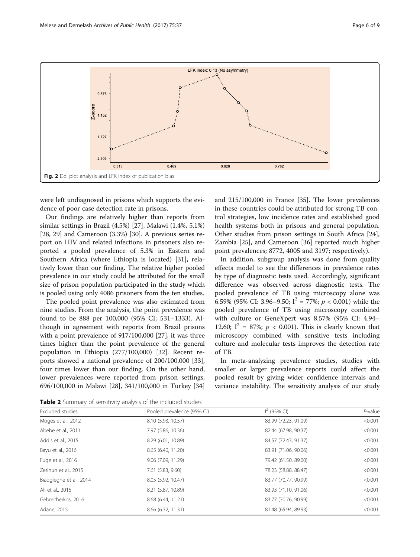<span id="page-5-0"></span>

were left undiagnosed in prisons which supports the evidence of poor case detection rate in prisons.

Our findings are relatively higher than reports from similar settings in Brazil (4.5%) [\[27](#page-8-0)], Malawi (1.4%, 5.1%) [[28, 29\]](#page-8-0) and Cameroon (3.3%) [[30\]](#page-8-0). A previous series report on HIV and related infections in prisoners also reported a pooled prevalence of 5.3% in Eastern and Southern Africa (where Ethiopia is located) [[31\]](#page-8-0), relatively lower than our finding. The relative higher pooled prevalence in our study could be attributed for the small size of prison population participated in the study which is pooled using only 4086 prisoners from the ten studies.

The pooled point prevalence was also estimated from nine studies. From the analysis, the point prevalence was found to be 888 per 100,000 (95% CI; 531–1333). Although in agreement with reports from Brazil prisons with a point prevalence of 917/100,000 [\[27\]](#page-8-0), it was three times higher than the point prevalence of the general population in Ethiopia (277/100,000) [[32](#page-8-0)]. Recent reports showed a national prevalence of 200/100,000 [\[33](#page-8-0)], four times lower than our finding. On the other hand, lower prevalences were reported from prison settings; 696/100,000 in Malawi [\[28\]](#page-8-0), 341/100,000 in Turkey [[34](#page-8-0)]

and 215/100,000 in France [[35\]](#page-8-0). The lower prevalences in these countries could be attributed for strong TB control strategies, low incidence rates and established good health systems both in prisons and general population. Other studies from prison settings in South Africa [\[24](#page-8-0)], Zambia [[25](#page-8-0)], and Cameroon [\[36](#page-8-0)] reported much higher point prevalences; 8772, 4005 and 3197; respectively).

In addition, subgroup analysis was done from quality effects model to see the differences in prevalence rates by type of diagnostic tests used. Accordingly, significant difference was observed across diagnostic tests. The pooled prevalence of TB using microscopy alone was 6.59% (95% CI: 3.96–9.50;  $I^2 = 77\%$ ;  $p < 0.001$ ) while the pooled prevalence of TB using microscopy combined with culture or GeneXpert was 8.57% (95% CI: 4.94– 12.60;  $I^2 = 87\%$ ;  $p < 0.001$ ). This is clearly known that microscopy combined with sensitive tests including culture and molecular tests improves the detection rate of TB.

In meta-analyzing prevalence studies, studies with smaller or larger prevalence reports could affect the pooled result by giving wider confidence intervals and variance instability. The sensitivity analysis of our study

Table 2 Summary of sensitivity analysis of the included studies

| <b>TWAIN &amp;</b> Saltingly of Scribitivity analysis of the included studies |                            |                      |            |  |
|-------------------------------------------------------------------------------|----------------------------|----------------------|------------|--|
| Excluded studies                                                              | Pooled prevalence (95% CI) | $I^2$ (95% CI)       | $P$ -value |  |
| Moges et al., 2012                                                            | 8.10 (5.93, 10.57)         | 83.99 (72.23, 91.09) | < 0.001    |  |
| Abebe et al., 2011                                                            | 7.97 (5.86, 10.36)         | 82.44 (67.98, 90.37) | < 0.001    |  |
| Addis et al., 2015                                                            | 8.29 (6.01, 10.89)         | 84.57 (72.43, 91.37) | < 0.001    |  |
| Bayu et al., 2016                                                             | 8.65 (6.40, 11.20)         | 83.91 (71.06, 90.06) | < 0.001    |  |
| Fuge et al., 2016                                                             | 9.06 (7.09, 11.29)         | 79.42 (61.50, 89.00) | < 0.001    |  |
| Zerihun et al., 2015                                                          | 7.61 (5.83, 9.60)          | 78.23 (58.88, 88.47) | < 0.001    |  |
| Biadglegne et al., 2014                                                       | 8.05 (5.92, 10.47)         | 83.77 (70.77, 90.99) | < 0.001    |  |
| Ali et al., 2015                                                              | 8.21 (5.87, 10.89)         | 83.93 (71.10, 91.06) | < 0.001    |  |
| Gebrecherkos, 2016                                                            | 8.68 (6.44, 11.21)         | 83.77 (70.76, 90.99) | < 0.001    |  |
| Adane, 2015                                                                   | 8.66 (6.32, 11.31)         | 81.48 (65.94, 89.93) | < 0.001    |  |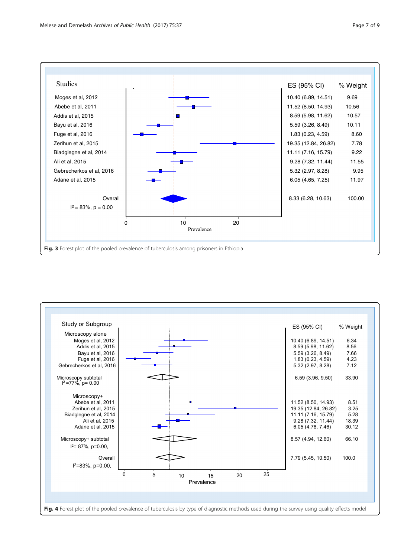<span id="page-6-0"></span>

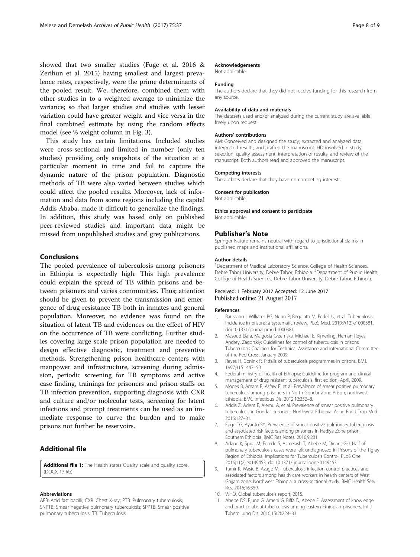<span id="page-7-0"></span>showed that two smaller studies (Fuge et al. 2016 & Zerihun et al. 2015) having smallest and largest prevalence rates, respectively, were the prime determinants of the pooled result. We, therefore, combined them with other studies in to a weighted average to minimize the variance; so that larger studies and studies with lesser variation could have greater weight and vice versa in the final combined estimate by using the random effects model (see % weight column in Fig. [3\)](#page-6-0).

This study has certain limitations. Included studies were cross-sectional and limited in number (only ten studies) providing only snapshots of the situation at a particular moment in time and fail to capture the dynamic nature of the prison population. Diagnostic methods of TB were also varied between studies which could affect the pooled results. Moreover, lack of information and data from some regions including the capital Addis Ababa, made it difficult to generalize the findings. In addition, this study was based only on published peer-reviewed studies and important data might be missed from unpublished studies and grey publications.

## Conclusions

The pooled prevalence of tuberculosis among prisoners in Ethiopia is expectedly high. This high prevalence could explain the spread of TB within prisons and between prisoners and varies communities. Thus; attention should be given to prevent the transmission and emergence of drug resistance TB both in inmates and general population. Moreover, no evidence was found on the situation of latent TB and evidences on the effect of HIV on the occurrence of TB were conflicting. Further studies covering large scale prison population are needed to design effective diagnostic, treatment and preventive methods. Strengthening prison healthcare centers with manpower and infrastructure, screening during admission, periodic screening for TB symptoms and active case finding, trainings for prisoners and prison staffs on TB infection prevention, supporting diagnosis with CXR and culture and/or molecular tests, screening for latent infections and prompt treatments can be used as an immediate response to curve the burden and to make prisons not further be reservoirs.

## Additional file

[Additional file 1:](dx.doi.org/10.1186/s13690-017-0204-x) The Health states Quality scale and quality score. (DOCX 17 kb)

#### Abbreviations

AFB: Acid fast bacilli; CXR: Chest X-ray; PTB: Pulmonary tuberculosis; SNPTB: Smear negative pulmonary tuberculosis; SPPTB: Smear positive pulmonary tuberculosis; TB: Tuberculosis

## Acknowledgements

Not applicable.

#### Funding

The authors declare that they did not receive funding for this research from any source.

#### Availability of data and materials

The datasets used and/or analyzed during the current study are available freely upon request.

#### Authors' contributions

AM: Conceived and designed the study; extracted and analyzed data, interpreted results; and drafted the manuscript. HD involved in study selection, quality assessment, interpretation of results, and review of the manuscript. Both authors read and approved the manuscript.

#### Competing interests

The authors declare that they have no competing interests.

#### Consent for publication

Not applicable.

## Ethics approval and consent to participate

Not applicable.

#### Publisher's Note

Springer Nature remains neutral with regard to jurisdictional claims in published maps and institutional affiliations.

#### Author details

<sup>1</sup>Department of Medical Laboratory Science, College of Health Sciences Debre Tabor University, Debre Tabor, Ethiopia. <sup>2</sup> Department of Public Health College of Health Sciences, Debre Tabor University, Debre Tabor, Ethiopia.

## Received: 1 February 2017 Accepted: 12 June 2017 Published online: 21 August 2017

#### References

- 1. Baussano I, Williams BG, Nunn P, Beggiato M, Fedeli U, et al. Tuberculosis incidence in prisons: a systematic review. PLoS Med. 2010;7(12):e1000381. doi[:10.1371/journal.pmed.1000381.](http://dx.doi.org/10.1371/journal.pmed.1000381)
- 2. Masoud Dara, Malgosia Grzemska, Michael E. Kimerling, Hernan Reyes Andrey, Zagorskiy: Guidelines for control of tuberculosis in prisons Tuberculosis Coalition for Technical Assistance and International Committee of the Red Cross, January 2009.
- 3. Reyes H, Coninx R. Pitfalls of tuberculosis programmes in prisons. BMJ. 1997;315:1447–50.
- 4. Federal ministry of health of Ethiopia: Guideline for program and clinical management of drug resistant tuberculosis, first edition, April, 2009.
- 5. Moges B, Amare B, Asfaw F, et al. Prevalence of smear positive pulmonary tuberculosis among prisoners in North Gondar Zone Prison, northwest Ethiopia. BMC Infectious Dis. 2012;12:352–8.
- 6. Addis Z, Adem E, Alemu A, et al. Prevalence of smear positive pulmonary tuberculosis in Gondar prisoners, Northwest Ethiopia. Asian Pac J Trop Med. 2015:127–31.
- 7. Fuge TG, Ayanto SY. Prevalence of smear positive pulmonary tuberculosis and associated risk factors among prisoners in Hadiya Zone prison, Southern Ethiopia. BMC Res Notes. 2016;9:201.
- 8. Adane K, Spigt M, Ferede S, Asmelash T, Abebe M, Dinant G-J. Half of pulmonary tuberculosis cases were left undiagnosed in Prisons of the Tigray Region of Ethiopia: Implications for Tuberculosis Control. PLoS One. 2016;11(2):e0149453. doi:[10.1371/ journal.pone.0149453](http://dx.doi.org/10.1371/ journal.pone.0149453).
- 9. Tamir K, Wasie B, Azage M. Tuberculosis infection control practices and associated factors among health care workers in health centers of West Gojjam zone, Northwest Ethiopia: a cross-sectional study. BMC Health Serv Res. 2016;16:359.
- 10. WHO, Global tuberculosis report, 2015.
- 11. Abebe DS, Bjune G, Ameni G, Biffa D, Abebe F. Assessment of knowledge and practice about tuberculosis among eastern Ethiopian prisoners. Int J Tuberc Lung Dis. 2010;15(2):228–33.